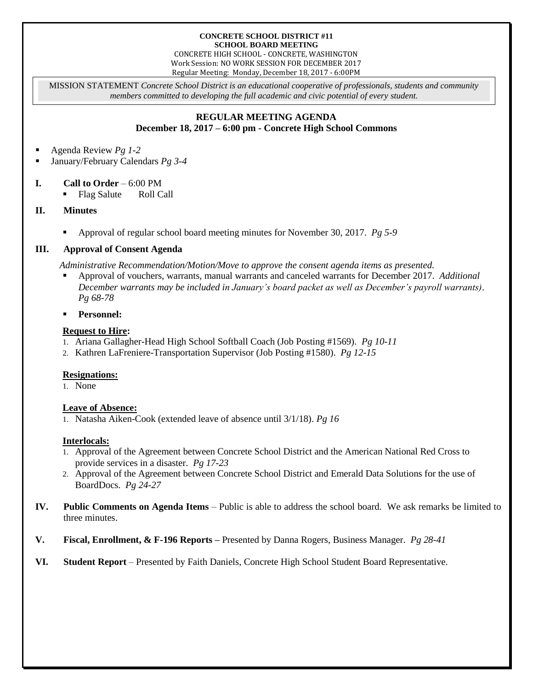#### **CONCRETE SCHOOL DISTRICT #11 SCHOOL BOARD MEETING**

CONCRETE HIGH SCHOOL - CONCRETE, WASHINGTON Work Session: NO WORK SESSION FOR DECEMBER 2017 Regular Meeting: Monday, December 18, 2017 - 6:00PM

MISSION STATEMENT *Concrete School District is an educational cooperative of professionals, students and community members committed to developing the full academic and civic potential of every student.*

## **REGULAR MEETING AGENDA December 18, 2017 – 6:00 pm - Concrete High School Commons**

- Agenda Review *Pg 1-2*
- January/February Calendars *Pg 3-4*
- **I. Call to Order** 6:00 PM
	- Flag Salute Roll Call

## **II. Minutes**

Approval of regular school board meeting minutes for November 30, 2017. *Pg 5-9*

# **III. Approval of Consent Agenda**

*Administrative Recommendation/Motion/Move to approve the consent agenda items as presented.*

- Approval of vouchers, warrants, manual warrants and canceled warrants for December 2017. *Additional December warrants may be included in January's board packet as well as December's payroll warrants)*. *Pg 68-78*
- **Personnel:**

## **Request to Hire:**

- 1. Ariana Gallagher-Head High School Softball Coach (Job Posting #1569). *Pg 10-11*
- 2. Kathren LaFreniere-Transportation Supervisor (Job Posting #1580). *Pg 12-15*

## **Resignations:**

1. None

## **Leave of Absence:**

1. Natasha Aiken-Cook (extended leave of absence until 3/1/18). *Pg 16*

## **Interlocals:**

- 1. Approval of the Agreement between Concrete School District and the American National Red Cross to provide services in a disaster. *Pg 17-23*
- 2. Approval of the Agreement between Concrete School District and Emerald Data Solutions for the use of BoardDocs. *Pg 24-27*
- **IV. Public Comments on Agenda Items** Public is able to address the school board. We ask remarks be limited to three minutes.
- **V. Fiscal, Enrollment, & F-196 Reports –** Presented by Danna Rogers, Business Manager. *Pg 28-41*
- **VI. Student Report** Presented by Faith Daniels, Concrete High School Student Board Representative.